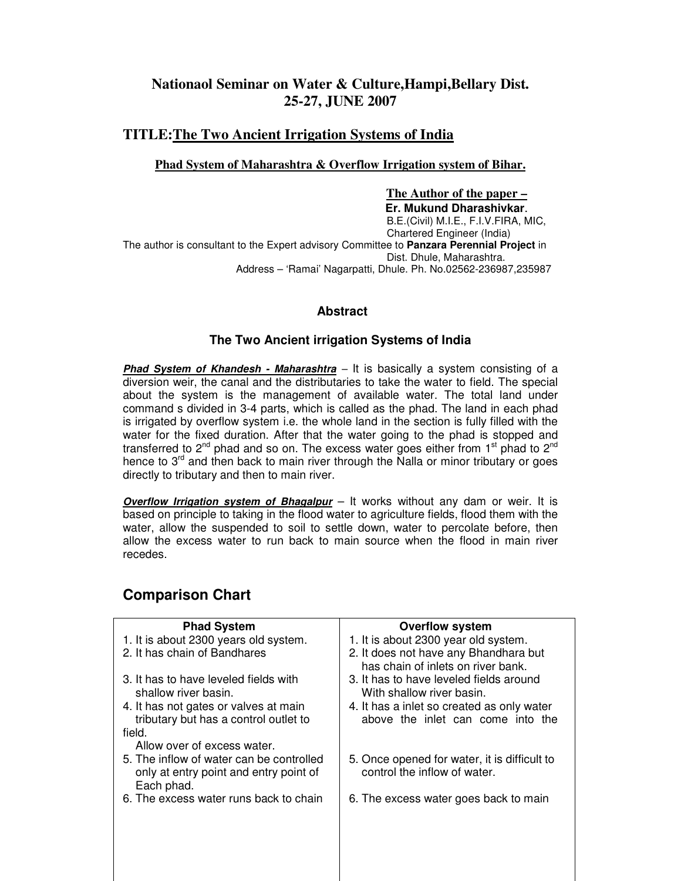# **Nationaol Seminar on Water & Culture,Hampi,Bellary Dist. 25-27, JUNE 2007**

## **TITLE:The Two Ancient Irrigation Systems of India**

#### **Phad System of Maharashtra & Overflow Irrigation system of Bihar.**

 **The Author of the paper – Er. Mukund Dharashivkar**. B.E.(Civil) M.I.E., F.I.V.FIRA, MIC, Chartered Engineer (India) The author is consultant to the Expert advisory Committee to **Panzara Perennial Project** in Dist. Dhule, Maharashtra. Address – 'Ramai' Nagarpatti, Dhule. Ph. No.02562-236987,235987

### **Abstract**

#### **The Two Ancient irrigation Systems of India**

**Phad System of Khandesh - Maharashtra** – It is basically a system consisting of a diversion weir, the canal and the distributaries to take the water to field. The special about the system is the management of available water. The total land under command s divided in 3-4 parts, which is called as the phad. The land in each phad is irrigated by overflow system i.e. the whole land in the section is fully filled with the water for the fixed duration. After that the water going to the phad is stopped and transferred to 2<sup>nd</sup> phad and so on. The excess water goes either from 1<sup>st</sup> phad to 2<sup>nd</sup> hence to  $3<sup>rd</sup>$  and then back to main river through the Nalla or minor tributary or goes directly to tributary and then to main river.

**Overflow Irrigation system of Bhagalpur** – It works without any dam or weir. It is based on principle to taking in the flood water to agriculture fields, flood them with the water, allow the suspended to soil to settle down, water to percolate before, then allow the excess water to run back to main source when the flood in main river recedes.

# **Comparison Chart**

| <b>Phad System</b>                                                                               | <b>Overflow system</b>                                                          |
|--------------------------------------------------------------------------------------------------|---------------------------------------------------------------------------------|
| 1. It is about 2300 years old system.                                                            | 1. It is about 2300 year old system.                                            |
| 2. It has chain of Bandhares                                                                     | 2. It does not have any Bhandhara but<br>has chain of inlets on river bank.     |
| 3. It has to have leveled fields with<br>shallow river basin.                                    | 3. It has to have leveled fields around<br>With shallow river basin.            |
| 4. It has not gates or valves at main<br>tributary but has a control outlet to                   | 4. It has a inlet so created as only water<br>above the inlet can come into the |
| field.                                                                                           |                                                                                 |
| Allow over of excess water.                                                                      |                                                                                 |
| 5. The inflow of water can be controlled<br>only at entry point and entry point of<br>Each phad. | 5. Once opened for water, it is difficult to<br>control the inflow of water.    |
| 6. The excess water runs back to chain                                                           | 6. The excess water goes back to main                                           |
|                                                                                                  |                                                                                 |
|                                                                                                  |                                                                                 |
|                                                                                                  |                                                                                 |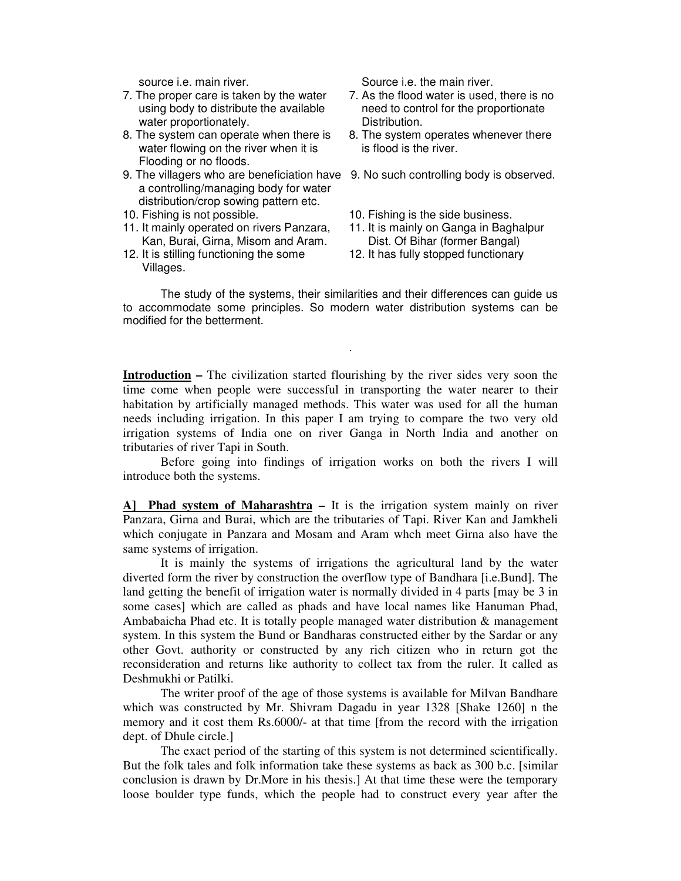- water proportionately. The matter proportionately.
- 8. The system can operate when there is 8. The system operates whenever there water flowing on the river when it is is flood is the river. Flooding or no floods.
- 9. The villagers who are beneficiation have 9. No such controlling body is observed. a controlling/managing body for water distribution/crop sowing pattern etc.
- 
- 10. Fishing is not possible.<br>11. It mainly operated on rivers Panzara, 11. It is mainly on Ganga in Baghalpur 11. It mainly operated on rivers Panzara, Kan, Burai, Girna, Misom and Aram. Dist. Of Bihar (former Bangal)

**.** The contract of the contract of the contract of the contract of the contract of the contract of the contract of

12. It is stilling functioning the some 12. It has fully stopped functionary Villages.

source i.e. main river. Source i.e. the main river.

- 7. The proper care is taken by the water 7. As the flood water is used, there is no using body to distribute the available need to control for the proportionate
	-
	-
	-
	-
	-

The study of the systems, their similarities and their differences can guide us to accommodate some principles. So modern water distribution systems can be modified for the betterment.

**Introduction –** The civilization started flourishing by the river sides very soon the time come when people were successful in transporting the water nearer to their habitation by artificially managed methods. This water was used for all the human needs including irrigation. In this paper I am trying to compare the two very old irrigation systems of India one on river Ganga in North India and another on tributaries of river Tapi in South.

 Before going into findings of irrigation works on both the rivers I will introduce both the systems.

**A] Phad system of Maharashtra –** It is the irrigation system mainly on river Panzara, Girna and Burai, which are the tributaries of Tapi. River Kan and Jamkheli which conjugate in Panzara and Mosam and Aram whch meet Girna also have the same systems of irrigation.

 It is mainly the systems of irrigations the agricultural land by the water diverted form the river by construction the overflow type of Bandhara [i.e.Bund]. The land getting the benefit of irrigation water is normally divided in 4 parts [may be 3 in some cases] which are called as phads and have local names like Hanuman Phad, Ambabaicha Phad etc. It is totally people managed water distribution & management system. In this system the Bund or Bandharas constructed either by the Sardar or any other Govt. authority or constructed by any rich citizen who in return got the reconsideration and returns like authority to collect tax from the ruler. It called as Deshmukhi or Patilki.

 The writer proof of the age of those systems is available for Milvan Bandhare which was constructed by Mr. Shivram Dagadu in year 1328 [Shake 1260] n the memory and it cost them Rs.6000/- at that time [from the record with the irrigation dept. of Dhule circle.]

 The exact period of the starting of this system is not determined scientifically. But the folk tales and folk information take these systems as back as 300 b.c. [similar conclusion is drawn by Dr.More in his thesis.] At that time these were the temporary loose boulder type funds, which the people had to construct every year after the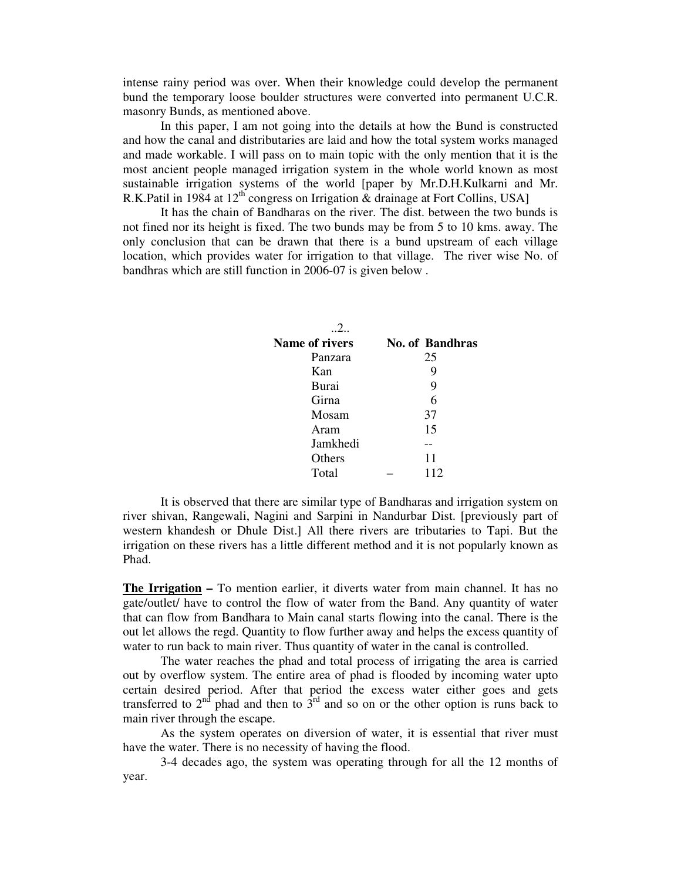intense rainy period was over. When their knowledge could develop the permanent bund the temporary loose boulder structures were converted into permanent U.C.R. masonry Bunds, as mentioned above.

 In this paper, I am not going into the details at how the Bund is constructed and how the canal and distributaries are laid and how the total system works managed and made workable. I will pass on to main topic with the only mention that it is the most ancient people managed irrigation system in the whole world known as most sustainable irrigation systems of the world [paper by Mr.D.H.Kulkarni and Mr. R.K.Patil in 1984 at  $12^{th}$  congress on Irrigation & drainage at Fort Collins, USA]

 It has the chain of Bandharas on the river. The dist. between the two bunds is not fined nor its height is fixed. The two bunds may be from 5 to 10 kms. away. The only conclusion that can be drawn that there is a bund upstream of each village location, which provides water for irrigation to that village. The river wise No. of bandhras which are still function in 2006-07 is given below .

| $\mathcal{L}$         |                        |
|-----------------------|------------------------|
| <b>Name of rivers</b> | <b>No. of Bandhras</b> |
| Panzara               | 25                     |
| Kan                   | 9                      |
| Burai                 | 9                      |
| Girna                 | 6                      |
| Mosam                 | 37                     |
| Aram                  | 15                     |
| Jamkhedi              |                        |
| Others                | 11                     |
| Total                 | 112                    |

It is observed that there are similar type of Bandharas and irrigation system on river shivan, Rangewali, Nagini and Sarpini in Nandurbar Dist. [previously part of western khandesh or Dhule Dist.] All there rivers are tributaries to Tapi. But the irrigation on these rivers has a little different method and it is not popularly known as Phad.

**The Irrigation –** To mention earlier, it diverts water from main channel. It has no gate/outlet/ have to control the flow of water from the Band. Any quantity of water that can flow from Bandhara to Main canal starts flowing into the canal. There is the out let allows the regd. Quantity to flow further away and helps the excess quantity of water to run back to main river. Thus quantity of water in the canal is controlled.

 The water reaches the phad and total process of irrigating the area is carried out by overflow system. The entire area of phad is flooded by incoming water upto certain desired period. After that period the excess water either goes and gets transferred to  $2<sup>nd</sup>$  phad and then to  $3<sup>rd</sup>$  and so on or the other option is runs back to main river through the escape.

 As the system operates on diversion of water, it is essential that river must have the water. There is no necessity of having the flood.

 3-4 decades ago, the system was operating through for all the 12 months of year.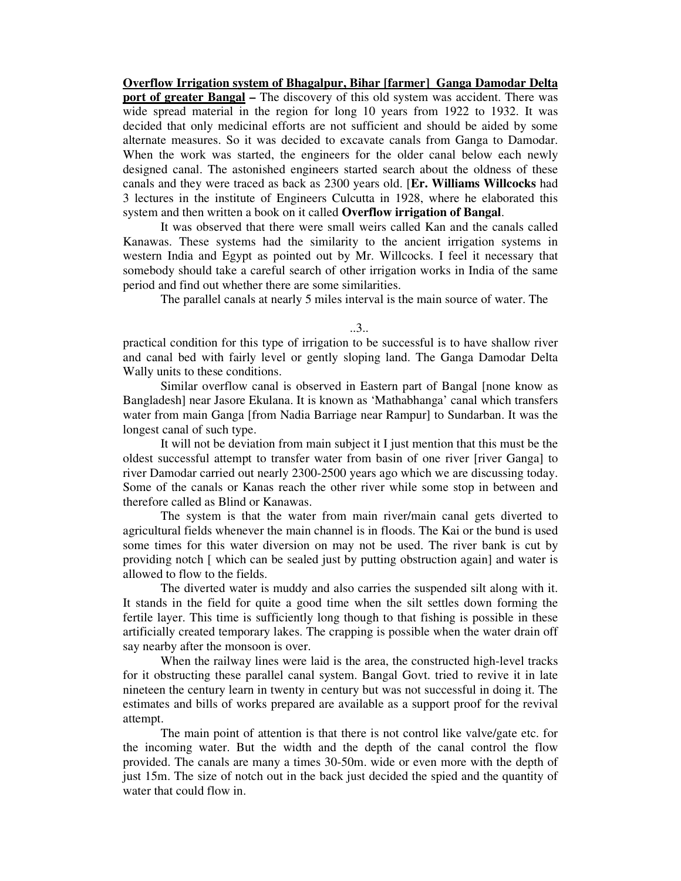**Overflow Irrigation system of Bhagalpur, Bihar [farmer] Ganga Damodar Delta port of greater Bangal –** The discovery of this old system was accident. There was wide spread material in the region for long 10 years from 1922 to 1932. It was decided that only medicinal efforts are not sufficient and should be aided by some alternate measures. So it was decided to excavate canals from Ganga to Damodar. When the work was started, the engineers for the older canal below each newly designed canal. The astonished engineers started search about the oldness of these canals and they were traced as back as 2300 years old. [**Er. Williams Willcocks** had 3 lectures in the institute of Engineers Culcutta in 1928, where he elaborated this system and then written a book on it called **Overflow irrigation of Bangal**.

 It was observed that there were small weirs called Kan and the canals called Kanawas. These systems had the similarity to the ancient irrigation systems in western India and Egypt as pointed out by Mr. Willcocks. I feel it necessary that somebody should take a careful search of other irrigation works in India of the same period and find out whether there are some similarities.

The parallel canals at nearly 5 miles interval is the main source of water. The

..3..

practical condition for this type of irrigation to be successful is to have shallow river and canal bed with fairly level or gently sloping land. The Ganga Damodar Delta Wally units to these conditions.

 Similar overflow canal is observed in Eastern part of Bangal [none know as Bangladesh] near Jasore Ekulana. It is known as 'Mathabhanga' canal which transfers water from main Ganga [from Nadia Barriage near Rampur] to Sundarban. It was the longest canal of such type.

 It will not be deviation from main subject it I just mention that this must be the oldest successful attempt to transfer water from basin of one river [river Ganga] to river Damodar carried out nearly 2300-2500 years ago which we are discussing today. Some of the canals or Kanas reach the other river while some stop in between and therefore called as Blind or Kanawas.

 The system is that the water from main river/main canal gets diverted to agricultural fields whenever the main channel is in floods. The Kai or the bund is used some times for this water diversion on may not be used. The river bank is cut by providing notch [ which can be sealed just by putting obstruction again] and water is allowed to flow to the fields.

 The diverted water is muddy and also carries the suspended silt along with it. It stands in the field for quite a good time when the silt settles down forming the fertile layer. This time is sufficiently long though to that fishing is possible in these artificially created temporary lakes. The crapping is possible when the water drain off say nearby after the monsoon is over.

 When the railway lines were laid is the area, the constructed high-level tracks for it obstructing these parallel canal system. Bangal Govt. tried to revive it in late nineteen the century learn in twenty in century but was not successful in doing it. The estimates and bills of works prepared are available as a support proof for the revival attempt.

 The main point of attention is that there is not control like valve/gate etc. for the incoming water. But the width and the depth of the canal control the flow provided. The canals are many a times 30-50m. wide or even more with the depth of just 15m. The size of notch out in the back just decided the spied and the quantity of water that could flow in.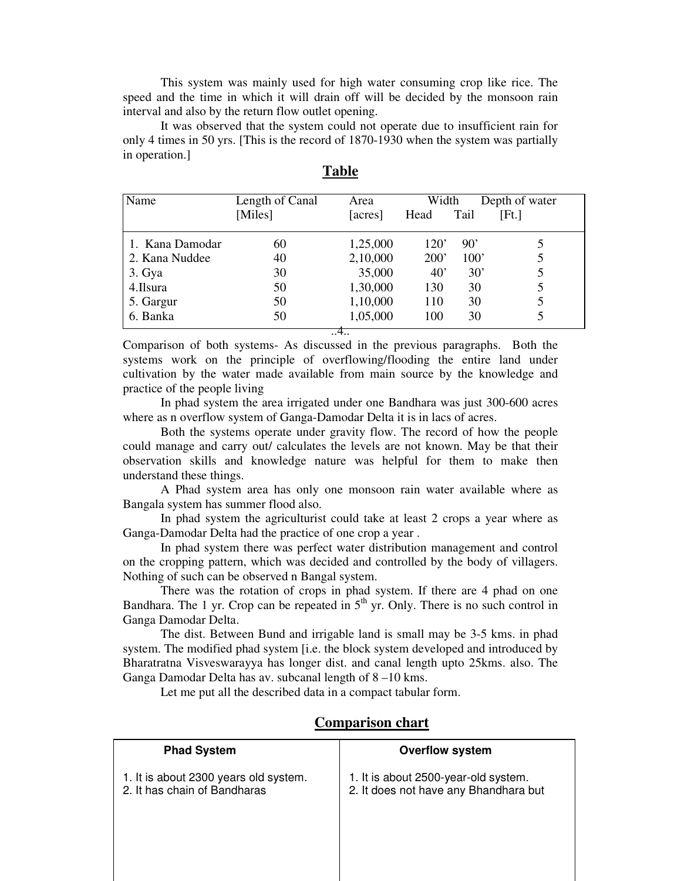This system was mainly used for high water consuming crop like rice. The speed and the time in which it will drain off will be decided by the monsoon rain interval and also by the return flow outlet opening.

 It was observed that the system could not operate due to insufficient rain for only 4 times in 50 yrs. [This is the record of 1870-1930 when the system was partially in operation.]

| Name            | Length of Canal | Area     | Width        |      | Depth of water |
|-----------------|-----------------|----------|--------------|------|----------------|
|                 | [Miles]         | [acres]  | Head         | Tail | [Fit.]         |
| 1. Kana Damodar | 60              | 1,25,000 | 120'         | 90'  |                |
| 2. Kana Nuddee  | 40              | 2,10,000 | 200'         | 100' |                |
| 3. Gya          | 30              | 35,000   | $40^{\circ}$ | 30'  |                |
| 4.Ilsura        | 50              | 1,30,000 | 130          | 30   |                |
| 5. Gargur       | 50              | 1,10,000 | 110          | 30   |                |
| 6. Banka        | 50              | 1,05,000 | 100          | 30   |                |
| 4               |                 |          |              |      |                |

| D<br>Т<br>n |
|-------------|
|-------------|

Comparison of both systems- As discussed in the previous paragraphs. Both the systems work on the principle of overflowing/flooding the entire land under cultivation by the water made available from main source by the knowledge and practice of the people living

 In phad system the area irrigated under one Bandhara was just 300-600 acres where as n overflow system of Ganga-Damodar Delta it is in lacs of acres.

 Both the systems operate under gravity flow. The record of how the people could manage and carry out/ calculates the levels are not known. May be that their observation skills and knowledge nature was helpful for them to make then understand these things.

 A Phad system area has only one monsoon rain water available where as Bangala system has summer flood also.

 In phad system the agriculturist could take at least 2 crops a year where as Ganga-Damodar Delta had the practice of one crop a year .

 In phad system there was perfect water distribution management and control on the cropping pattern, which was decided and controlled by the body of villagers. Nothing of such can be observed n Bangal system.

 There was the rotation of crops in phad system. If there are 4 phad on one Bandhara. The 1 yr. Crop can be repeated in  $5<sup>th</sup>$  yr. Only. There is no such control in Ganga Damodar Delta.

 The dist. Between Bund and irrigable land is small may be 3-5 kms. in phad system. The modified phad system [i.e. the block system developed and introduced by Bharatratna Visveswarayya has longer dist. and canal length upto 25kms. also. The Ganga Damodar Delta has av. subcanal length of 8 –10 kms.

Let me put all the described data in a compact tabular form.

| <b>Phad System</b>                                                    | <b>Overflow system</b>                                                        |
|-----------------------------------------------------------------------|-------------------------------------------------------------------------------|
| 1. It is about 2300 years old system.<br>2. It has chain of Bandharas | 1. It is about 2500-year-old system.<br>2. It does not have any Bhandhara but |

#### **Comparison chart**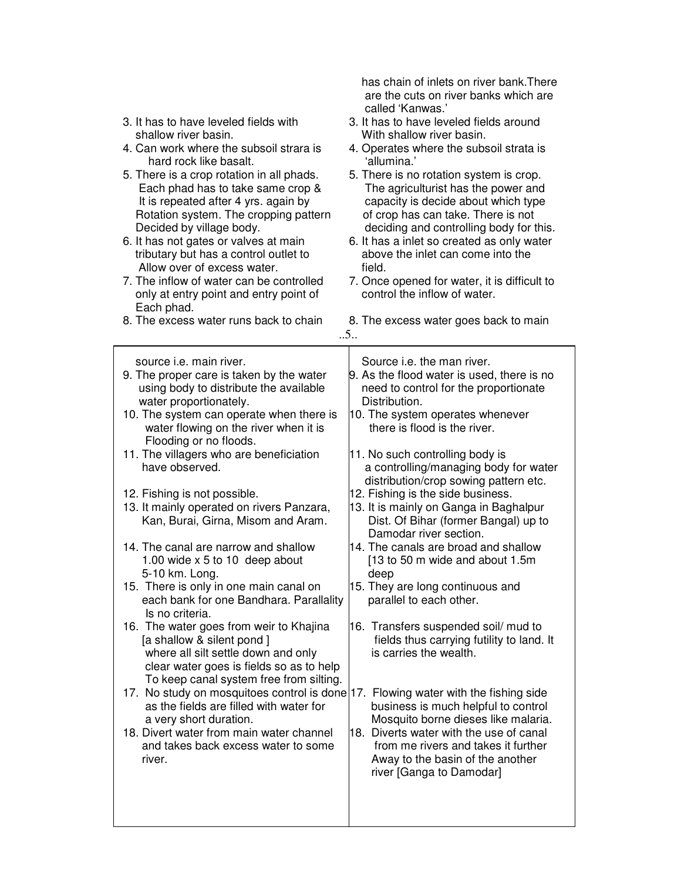| 3. It has to have leveled fields with<br>shallow river basin.<br>4. Can work where the subsoil strara is<br>hard rock like basalt.<br>5. There is a crop rotation in all phads.<br>Each phad has to take same crop &<br>It is repeated after 4 yrs. again by<br>Rotation system. The cropping pattern                                                                                                                                                                                                                                                                                                                                                                                                                                                                                                                                                                                                                                                                                                                                                                                                             | are the cuts on river banks which are<br>called 'Kanwas.'<br>3. It has to have leveled fields around<br>With shallow river basin.<br>4. Operates where the subsoil strata is<br>'allumina.'<br>5. There is no rotation system is crop.<br>The agriculturist has the power and<br>capacity is decide about which type<br>of crop has can take. There is not                                                                                                                                                                                                                                                                                                                                                                                                                                                                                                                                                                                                                           |
|-------------------------------------------------------------------------------------------------------------------------------------------------------------------------------------------------------------------------------------------------------------------------------------------------------------------------------------------------------------------------------------------------------------------------------------------------------------------------------------------------------------------------------------------------------------------------------------------------------------------------------------------------------------------------------------------------------------------------------------------------------------------------------------------------------------------------------------------------------------------------------------------------------------------------------------------------------------------------------------------------------------------------------------------------------------------------------------------------------------------|--------------------------------------------------------------------------------------------------------------------------------------------------------------------------------------------------------------------------------------------------------------------------------------------------------------------------------------------------------------------------------------------------------------------------------------------------------------------------------------------------------------------------------------------------------------------------------------------------------------------------------------------------------------------------------------------------------------------------------------------------------------------------------------------------------------------------------------------------------------------------------------------------------------------------------------------------------------------------------------|
| Decided by village body.<br>6. It has not gates or valves at main<br>tributary but has a control outlet to<br>Allow over of excess water.                                                                                                                                                                                                                                                                                                                                                                                                                                                                                                                                                                                                                                                                                                                                                                                                                                                                                                                                                                         | deciding and controlling body for this.<br>6. It has a inlet so created as only water<br>above the inlet can come into the<br>field.                                                                                                                                                                                                                                                                                                                                                                                                                                                                                                                                                                                                                                                                                                                                                                                                                                                 |
| 7. The inflow of water can be controlled<br>only at entry point and entry point of<br>Each phad.                                                                                                                                                                                                                                                                                                                                                                                                                                                                                                                                                                                                                                                                                                                                                                                                                                                                                                                                                                                                                  | 7. Once opened for water, it is difficult to<br>control the inflow of water.                                                                                                                                                                                                                                                                                                                                                                                                                                                                                                                                                                                                                                                                                                                                                                                                                                                                                                         |
| 8. The excess water runs back to chain                                                                                                                                                                                                                                                                                                                                                                                                                                                                                                                                                                                                                                                                                                                                                                                                                                                                                                                                                                                                                                                                            | 8. The excess water goes back to main<br>.5.                                                                                                                                                                                                                                                                                                                                                                                                                                                                                                                                                                                                                                                                                                                                                                                                                                                                                                                                         |
| source <i>i.e.</i> main river.<br>9. The proper care is taken by the water<br>using body to distribute the available<br>water proportionately.<br>10. The system can operate when there is<br>water flowing on the river when it is<br>Flooding or no floods.<br>11. The villagers who are beneficiation<br>have observed.<br>12. Fishing is not possible.<br>13. It mainly operated on rivers Panzara,<br>Kan, Burai, Girna, Misom and Aram.<br>14. The canal are narrow and shallow<br>1.00 wide $x 5$ to 10 deep about<br>5-10 km. Long.<br>15. There is only in one main canal on<br>each bank for one Bandhara. Parallality<br>Is no criteria.<br>16. The water goes from weir to Khajina<br>[a shallow & silent pond]<br>where all silt settle down and only<br>clear water goes is fields so as to help<br>To keep canal system free from silting.<br>17. No study on mosquitoes control is done 17. Flowing water with the fishing side<br>as the fields are filled with water for<br>a very short duration.<br>18. Divert water from main water channel<br>and takes back excess water to some<br>river. | Source <i>i.e.</i> the man river.<br>9. As the flood water is used, there is no<br>need to control for the proportionate<br>Distribution.<br>10. The system operates whenever<br>there is flood is the river.<br>11. No such controlling body is<br>a controlling/managing body for water<br>distribution/crop sowing pattern etc.<br>12. Fishing is the side business.<br>13. It is mainly on Ganga in Baghalpur<br>Dist. Of Bihar (former Bangal) up to<br>Damodar river section.<br>14. The canals are broad and shallow<br>[13 to 50 m wide and about 1.5m<br>deep<br>15. They are long continuous and<br>parallel to each other.<br>16. Transfers suspended soil/ mud to<br>fields thus carrying futility to land. It<br>is carries the wealth.<br>business is much helpful to control<br>Mosquito borne dieses like malaria.<br>18. Diverts water with the use of canal<br>from me rivers and takes it further<br>Away to the basin of the another<br>river [Ganga to Damodar] |
|                                                                                                                                                                                                                                                                                                                                                                                                                                                                                                                                                                                                                                                                                                                                                                                                                                                                                                                                                                                                                                                                                                                   |                                                                                                                                                                                                                                                                                                                                                                                                                                                                                                                                                                                                                                                                                                                                                                                                                                                                                                                                                                                      |

has chain of inlets on river bank.There